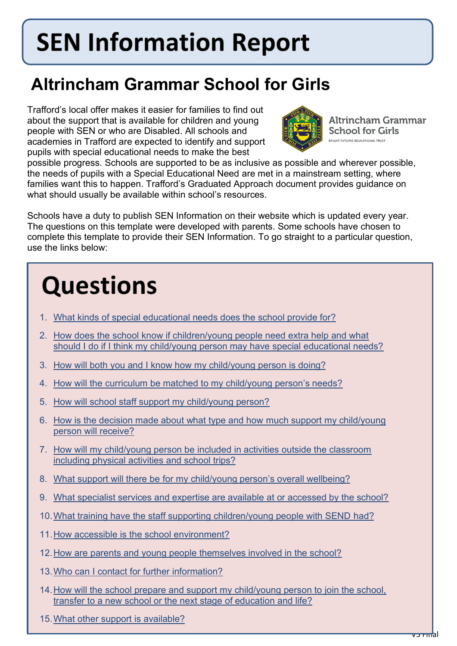# **SEN Information Report**

### **Altrincham Grammar School for Girls**

Trafford's local offer makes it easier for families to find out about the support that is available for children and young people with SEN or who are Disabled. All schools and academies in Trafford are expected to identify and support pupils with special educational needs to make the best



Altrincham Grammar **School for Girls HT FUTURES EDUCATIONAL TRUST** 

possible progress. Schools are supported to be as inclusive as possible and wherever possible, the needs of pupils with a Special Educational Need are met in a mainstream setting, where families want this to happen. Trafford's Graduated Approach document provides guidance on what should usually be available within school's resources.

Schools have a duty to publish SEN Information on their website which is updated every year. The questions on this template were developed with parents. Some schools have chosen to complete this template to provide their SEN Information. To go straight to a particular question, use the links below:

## **Questions**

- 1. [What kinds of special educational needs does the school provide for?](#page-1-0)
- 2. [How does the school know if children/young people need extra help and what](#page-1-1)  [should I do if I think my child/young person may have special educational needs?](#page-1-1)
- 3. [How will both you and I know how my child/young person is doing?](#page-2-0)
- 4. [How will the curriculum be matched to my child/young person's needs?](#page-2-1)
- 5. [How will school staff support my child/young person?](#page-2-2)
- 6. [How is the decision made about what type and how](#page-3-0) much support my child/young [person will receive?](#page-3-0)
- 7. [How will my child/young person be included in activities outside the classroom](#page-3-1)  [including physical activities and school trips?](#page-3-1)
- 8. What support will there be [for my child/young person's overall wellbeing?](#page-4-0)
- 9. [What specialist services and expertise are available at or accessed by the school?](#page-4-1)
- 10[.What training have the staff supporting children/young people with SEND had?](#page-5-0)
- 11[.How accessible is the school environment?](#page-5-1)
- 12[.How are parents and young people themselves involved in the school?](#page-6-0)
- 13[.Who can I contact for further information?](#page-6-1)
- 14[.How will the school prepare and support my child/young person to join the school,](#page-6-2)  [transfer to a new school or the next stage of education and life?](#page-6-2)
- 15[.What other support is available?](#page-7-0)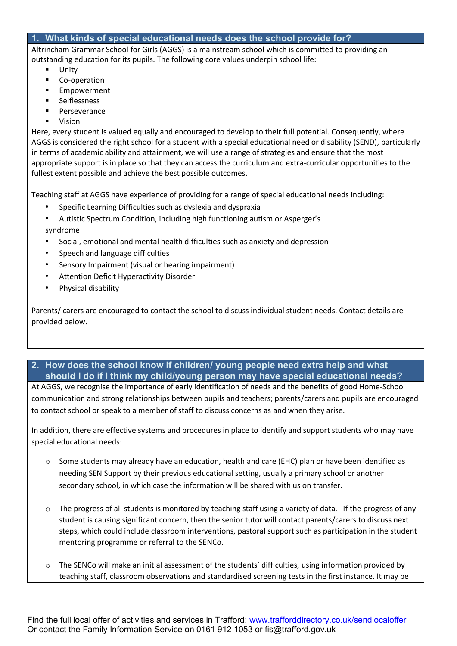#### <span id="page-1-0"></span>**1. What kinds of special educational needs does the school provide for?**

Altrincham Grammar School for Girls (AGGS) is a mainstream school which is committed to providing an outstanding education for its pupils. The following core values underpin school life:

- Unity
- Co-operation
- Empowerment
- Selflessness
- Perseverance
- Vision

Here, every student is valued equally and encouraged to develop to their full potential. Consequently, where AGGS is considered the right school for a student with a special educational need or disability (SEND), particularly in terms of academic ability and attainment, we will use a range of strategies and ensure that the most appropriate support is in place so that they can access the curriculum and extra-curricular opportunities to the fullest extent possible and achieve the best possible outcomes.

Teaching staff at AGGS have experience of providing for a range of special educational needs including:

- Specific Learning Difficulties such as dyslexia and dyspraxia
- Autistic Spectrum Condition, including high functioning autism or Asperger's syndrome
- Social, emotional and mental health difficulties such as anxiety and depression
- Speech and language difficulties
- Sensory Impairment (visual or hearing impairment)
- Attention Deficit Hyperactivity Disorder
- Physical disability

Parents/ carers are encouraged to contact the school to discuss individual student needs. Contact details are provided below.

#### <span id="page-1-1"></span>**2. How does the school know if children/ young people need extra help and what should I do if I think my child/young person may have special educational needs?**

At AGGS, we recognise the importance of early identification of needs and the benefits of good Home-School communication and strong relationships between pupils and teachers; parents/carers and pupils are encouraged to contact school or speak to a member of staff to discuss concerns as and when they arise.

In addition, there are effective systems and procedures in place to identify and support students who may have special educational needs:

- o Some students may already have an education, health and care (EHC) plan or have been identified as needing SEN Support by their previous educational setting, usually a primary school or another secondary school, in which case the information will be shared with us on transfer.
- $\circ$  The progress of all students is monitored by teaching staff using a variety of data. If the progress of any student is causing significant concern, then the senior tutor will contact parents/carers to discuss next steps, which could include classroom interventions, pastoral support such as participation in the student mentoring programme or referral to the SENCo.
- $\circ$  The SENCo will make an initial assessment of the students' difficulties, using information provided by teaching staff, classroom observations and standardised screening tests in the first instance. It may be

Find the full local offer of activities and services in Trafford: [www.trafforddirectory.co.uk/sendlocaloffer](http://www.trafforddirectory.co.uk/sendlocaloffer) Or contact the Family Information Service on 0161 912 1053 or fis@trafford.gov.uk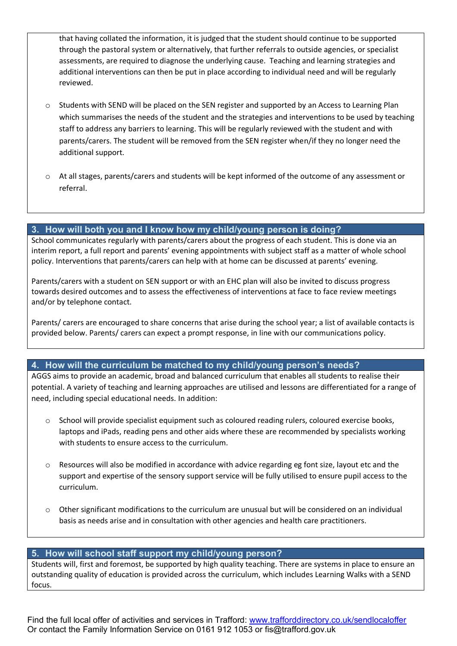that having collated the information, it is judged that the student should continue to be supported through the pastoral system or alternatively, that further referrals to outside agencies, or specialist assessments, are required to diagnose the underlying cause. Teaching and learning strategies and additional interventions can then be put in place according to individual need and will be regularly reviewed.

- $\circ$  Students with SEND will be placed on the SEN register and supported by an Access to Learning Plan which summarises the needs of the student and the strategies and interventions to be used by teaching staff to address any barriers to learning. This will be regularly reviewed with the student and with parents/carers. The student will be removed from the SEN register when/if they no longer need the additional support.
- o At all stages, parents/carers and students will be kept informed of the outcome of any assessment or referral.

#### <span id="page-2-0"></span>**3. How will both you and I know how my child/young person is doing?**

School communicates regularly with parents/carers about the progress of each student. This is done via an interim report, a full report and parents' evening appointments with subject staff as a matter of whole school policy. Interventions that parents/carers can help with at home can be discussed at parents' evening.

Parents/carers with a student on SEN support or with an EHC plan will also be invited to discuss progress towards desired outcomes and to assess the effectiveness of interventions at face to face review meetings and/or by telephone contact.

Parents/ carers are encouraged to share concerns that arise during the school year; a list of available contacts is provided below. Parents/ carers can expect a prompt response, in line with our communications policy.

#### <span id="page-2-1"></span>**4. How will the curriculum be matched to my child/young person's needs?**

AGGS aims to provide an academic, broad and balanced curriculum that enables all students to realise their potential. A variety of teaching and learning approaches are utilised and lessons are differentiated for a range of need, including special educational needs. In addition:

- o School will provide specialist equipment such as coloured reading rulers, coloured exercise books, laptops and iPads, reading pens and other aids where these are recommended by specialists working with students to ensure access to the curriculum.
- o Resources will also be modified in accordance with advice regarding eg font size, layout etc and the support and expertise of the sensory support service will be fully utilised to ensure pupil access to the curriculum.
- o Other significant modifications to the curriculum are unusual but will be considered on an individual basis as needs arise and in consultation with other agencies and health care practitioners.

#### <span id="page-2-2"></span>**5. How will school staff support my child/young person?**

Students will, first and foremost, be supported by high quality teaching. There are systems in place to ensure an outstanding quality of education is provided across the curriculum, which includes Learning Walks with a SEND focus.

Find the full local offer of activities and services in Trafford: [www.trafforddirectory.co.uk/sendlocaloffer](http://www.trafforddirectory.co.uk/sendlocaloffer) Or contact the Family Information Service on 0161 912 1053 or fis@trafford.gov.uk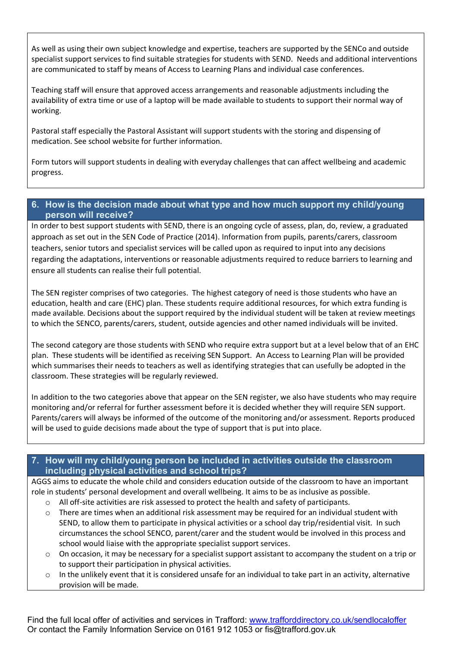As well as using their own subject knowledge and expertise, teachers are supported by the SENCo and outside specialist support services to find suitable strategies for students with SEND. Needs and additional interventions are communicated to staff by means of Access to Learning Plans and individual case conferences.

Teaching staff will ensure that approved access arrangements and reasonable adjustments including the availability of extra time or use of a laptop will be made available to students to support their normal way of working.

Pastoral staff especially the Pastoral Assistant will support students with the storing and dispensing of medication. See school website for further information.

Form tutors will support students in dealing with everyday challenges that can affect wellbeing and academic progress.

#### <span id="page-3-0"></span>**6. How is the decision made about what type and how much support my child/young person will receive?**

In order to best support students with SEND, there is an ongoing cycle of assess, plan, do, review, a graduated approach as set out in the SEN Code of Practice (2014). Information from pupils, parents/carers, classroom teachers, senior tutors and specialist services will be called upon as required to input into any decisions regarding the adaptations, interventions or reasonable adjustments required to reduce barriers to learning and ensure all students can realise their full potential.

The SEN register comprises of two categories. The highest category of need is those students who have an education, health and care (EHC) plan. These students require additional resources, for which extra funding is made available. Decisions about the support required by the individual student will be taken at review meetings to which the SENCO, parents/carers, student, outside agencies and other named individuals will be invited.

The second category are those students with SEND who require extra support but at a level below that of an EHC plan. These students will be identified as receiving SEN Support. An Access to Learning Plan will be provided which summarises their needs to teachers as well as identifying strategies that can usefully be adopted in the classroom. These strategies will be regularly reviewed.

In addition to the two categories above that appear on the SEN register, we also have students who may require monitoring and/or referral for further assessment before it is decided whether they will require SEN support. Parents/carers will always be informed of the outcome of the monitoring and/or assessment. Reports produced will be used to guide decisions made about the type of support that is put into place.

#### <span id="page-3-1"></span>**7. How will my child/young person be included in activities outside the classroom including physical activities and school trips?**

AGGS aims to educate the whole child and considers education outside of the classroom to have an important role in students' personal development and overall wellbeing. It aims to be as inclusive as possible.

- o All off-site activities are risk assessed to protect the health and safety of participants.
- $\circ$  There are times when an additional risk assessment may be required for an individual student with SEND, to allow them to participate in physical activities or a school day trip/residential visit. In such circumstances the school SENCO, parent/carer and the student would be involved in this process and school would liaise with the appropriate specialist support services.
- o On occasion, it may be necessary for a specialist support assistant to accompany the student on a trip or to support their participation in physical activities.
- $\circ$  In the unlikely event that it is considered unsafe for an individual to take part in an activity, alternative provision will be made.

Find the full local offer of activities and services in Trafford: [www.trafforddirectory.co.uk/sendlocaloffer](http://www.trafforddirectory.co.uk/sendlocaloffer) Or contact the Family Information Service on 0161 912 1053 or fis@trafford.gov.uk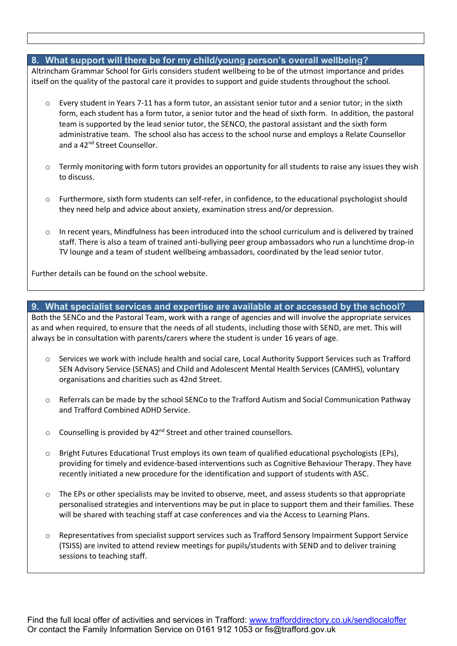#### <span id="page-4-0"></span>**8. What support will there be for my child/young person's overall wellbeing?**

Altrincham Grammar School for Girls considers student wellbeing to be of the utmost importance and prides itself on the quality of the pastoral care it provides to support and guide students throughout the school.

- Every student in Years 7-11 has a form tutor, an assistant senior tutor and a senior tutor; in the sixth form, each student has a form tutor, a senior tutor and the head of sixth form. In addition, the pastoral team is supported by the lead senior tutor, the SENCO, the pastoral assistant and the sixth form administrative team. The school also has access to the school nurse and employs a Relate Counsellor and a 42<sup>nd</sup> Street Counsellor.
- $\circ$  Termly monitoring with form tutors provides an opportunity for all students to raise any issues they wish to discuss.
- o Furthermore, sixth form students can self-refer, in confidence, to the educational psychologist should they need help and advice about anxiety, examination stress and/or depression.
- $\circ$  In recent years, Mindfulness has been introduced into the school curriculum and is delivered by trained staff. There is also a team of trained anti-bullying peer group ambassadors who run a lunchtime drop-in TV lounge and a team of student wellbeing ambassadors, coordinated by the lead senior tutor.

Further details can be found on the school website.

#### <span id="page-4-1"></span>**9. What specialist services and expertise are available at or accessed by the school?**

Both the SENCo and the Pastoral Team, work with a range of agencies and will involve the appropriate services as and when required, to ensure that the needs of all students, including those with SEND, are met. This will always be in consultation with parents/carers where the student is under 16 years of age.

- o Services we work with include health and social care, Local Authority Support Services such as Trafford SEN Advisory Service (SENAS) and Child and Adolescent Mental Health Services (CAMHS), voluntary organisations and charities such as 42nd Street.
- $\circ$  Referrals can be made by the school SENCo to the Trafford Autism and Social Communication Pathway and Trafford Combined ADHD Service.
- $\circ$  Counselling is provided by 42<sup>nd</sup> Street and other trained counsellors.
- o Bright Futures Educational Trust employs its own team of qualified educational psychologists (EPs), providing for timely and evidence-based interventions such as Cognitive Behaviour Therapy. They have recently initiated a new procedure for the identification and support of students with ASC.
- o The EPs or other specialists may be invited to observe, meet, and assess students so that appropriate personalised strategies and interventions may be put in place to support them and their families. These will be shared with teaching staff at case conferences and via the Access to Learning Plans.
- $\circ$  Representatives from specialist support services such as Trafford Sensory Impairment Support Service (TSISS) are invited to attend review meetings for pupils/students with SEND and to deliver training sessions to teaching staff.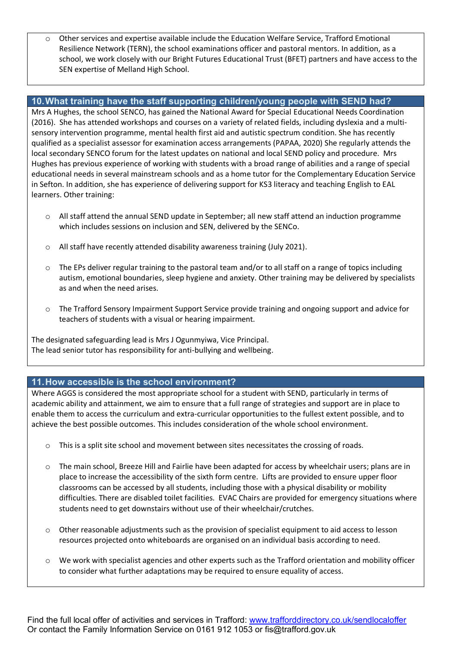o Other services and expertise available include the Education Welfare Service, Trafford Emotional Resilience Network (TERN), the school examinations officer and pastoral mentors. In addition, as a school, we work closely with our Bright Futures Educational Trust (BFET) partners and have access to the SEN expertise of Melland High School.

#### <span id="page-5-0"></span>**10.What training have the staff supporting children/young people with SEND had?**

Mrs A Hughes, the school SENCO, has gained the National Award for Special Educational Needs Coordination (2016). She has attended workshops and courses on a variety of related fields, including dyslexia and a multisensory intervention programme, mental health first aid and autistic spectrum condition. She has recently qualified as a specialist assessor for examination access arrangements (PAPAA, 2020) She regularly attends the local secondary SENCO forum for the latest updates on national and local SEND policy and procedure. Mrs Hughes has previous experience of working with students with a broad range of abilities and a range of special educational needs in several mainstream schools and as a home tutor for the Complementary Education Service in Sefton. In addition, she has experience of delivering support for KS3 literacy and teaching English to EAL learners. Other training:

- $\circ$  All staff attend the annual SEND update in September; all new staff attend an induction programme which includes sessions on inclusion and SEN, delivered by the SENCo.
- o All staff have recently attended disability awareness training (July 2021).
- $\circ$  The EPs deliver regular training to the pastoral team and/or to all staff on a range of topics including autism, emotional boundaries, sleep hygiene and anxiety. Other training may be delivered by specialists as and when the need arises.
- o The Trafford Sensory Impairment Support Service provide training and ongoing support and advice for teachers of students with a visual or hearing impairment.

The designated safeguarding lead is Mrs J Ogunmyiwa, Vice Principal. The lead senior tutor has responsibility for anti-bullying and wellbeing.

#### <span id="page-5-1"></span>**11.How accessible is the school environment?**

Where AGGS is considered the most appropriate school for a student with SEND, particularly in terms of academic ability and attainment, we aim to ensure that a full range of strategies and support are in place to enable them to access the curriculum and extra-curricular opportunities to the fullest extent possible, and to achieve the best possible outcomes. This includes consideration of the whole school environment.

- o This is a split site school and movement between sites necessitates the crossing of roads.
- $\circ$  The main school, Breeze Hill and Fairlie have been adapted for access by wheelchair users; plans are in place to increase the accessibility of the sixth form centre. Lifts are provided to ensure upper floor classrooms can be accessed by all students, including those with a physical disability or mobility difficulties. There are disabled toilet facilities. EVAC Chairs are provided for emergency situations where students need to get downstairs without use of their wheelchair/crutches.
- $\circ$  Other reasonable adjustments such as the provision of specialist equipment to aid access to lesson resources projected onto whiteboards are organised on an individual basis according to need.
- o We work with specialist agencies and other experts such as the Trafford orientation and mobility officer to consider what further adaptations may be required to ensure equality of access.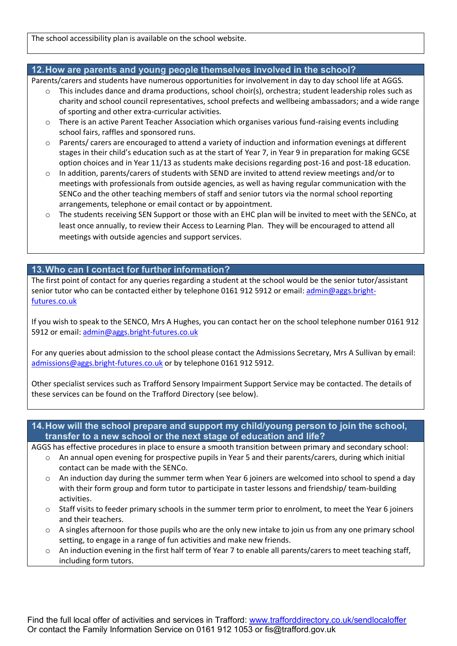The school accessibility plan is available on the school website.

#### <span id="page-6-0"></span>**12.How are parents and young people themselves involved in the school?**

Parents/carers and students have numerous opportunities for involvement in day to day school life at AGGS.

- $\circ$  This includes dance and drama productions, school choir(s), orchestra; student leadership roles such as charity and school council representatives, school prefects and wellbeing ambassadors; and a wide range of sporting and other extra-curricular activities.
- $\circ$  There is an active Parent Teacher Association which organises various fund-raising events including school fairs, raffles and sponsored runs.
- o Parents/ carers are encouraged to attend a variety of induction and information evenings at different stages in their child's education such as at the start of Year 7, in Year 9 in preparation for making GCSE option choices and in Year 11/13 as students make decisions regarding post-16 and post-18 education.
- $\circ$  In addition, parents/carers of students with SEND are invited to attend review meetings and/or to meetings with professionals from outside agencies, as well as having regular communication with the SENCo and the other teaching members of staff and senior tutors via the normal school reporting arrangements, telephone or email contact or by appointment.
- $\circ$  The students receiving SEN Support or those with an EHC plan will be invited to meet with the SENCo, at least once annually, to review their Access to Learning Plan. They will be encouraged to attend all meetings with outside agencies and support services.

#### <span id="page-6-1"></span>**13.Who can I contact for further information?**

The first point of contact for any queries regarding a student at the school would be the senior tutor/assistant senior tutor who can be contacted either by telephone 0161 912 5912 or email: [admin@aggs.bright](mailto:admin@aggs.bright-futures.co.uk)[futures.co.uk](mailto:admin@aggs.bright-futures.co.uk)

If you wish to speak to the SENCO, Mrs A Hughes, you can contact her on the school telephone number 0161 912 5912 or email: [admin@aggs.bright-futures.co.uk](mailto:admin@aggs.bright-futures.co.uk)

For any queries about admission to the school please contact the Admissions Secretary, Mrs A Sullivan by email: [admissions@aggs.bright-futures.co.uk](mailto:admissions@aggs.bright-futures.co.uk) or by telephone 0161 912 5912.

Other specialist services such as Trafford Sensory Impairment Support Service may be contacted. The details of these services can be found on the Trafford Directory (see below).

#### <span id="page-6-2"></span>**14.How will the school prepare and support my child/young person to join the school, transfer to a new school or the next stage of education and life?**

AGGS has effective procedures in place to ensure a smooth transition between primary and secondary school:

- $\circ$  An annual open evening for prospective pupils in Year 5 and their parents/carers, during which initial contact can be made with the SENCo.
- $\circ$  An induction day during the summer term when Year 6 joiners are welcomed into school to spend a day with their form group and form tutor to participate in taster lessons and friendship/ team-building activities.
- $\circ$  Staff visits to feeder primary schools in the summer term prior to enrolment, to meet the Year 6 joiners and their teachers.
- o A singles afternoon for those pupils who are the only new intake to join us from any one primary school setting, to engage in a range of fun activities and make new friends.
- o An induction evening in the first half term of Year 7 to enable all parents/carers to meet teaching staff, including form tutors.